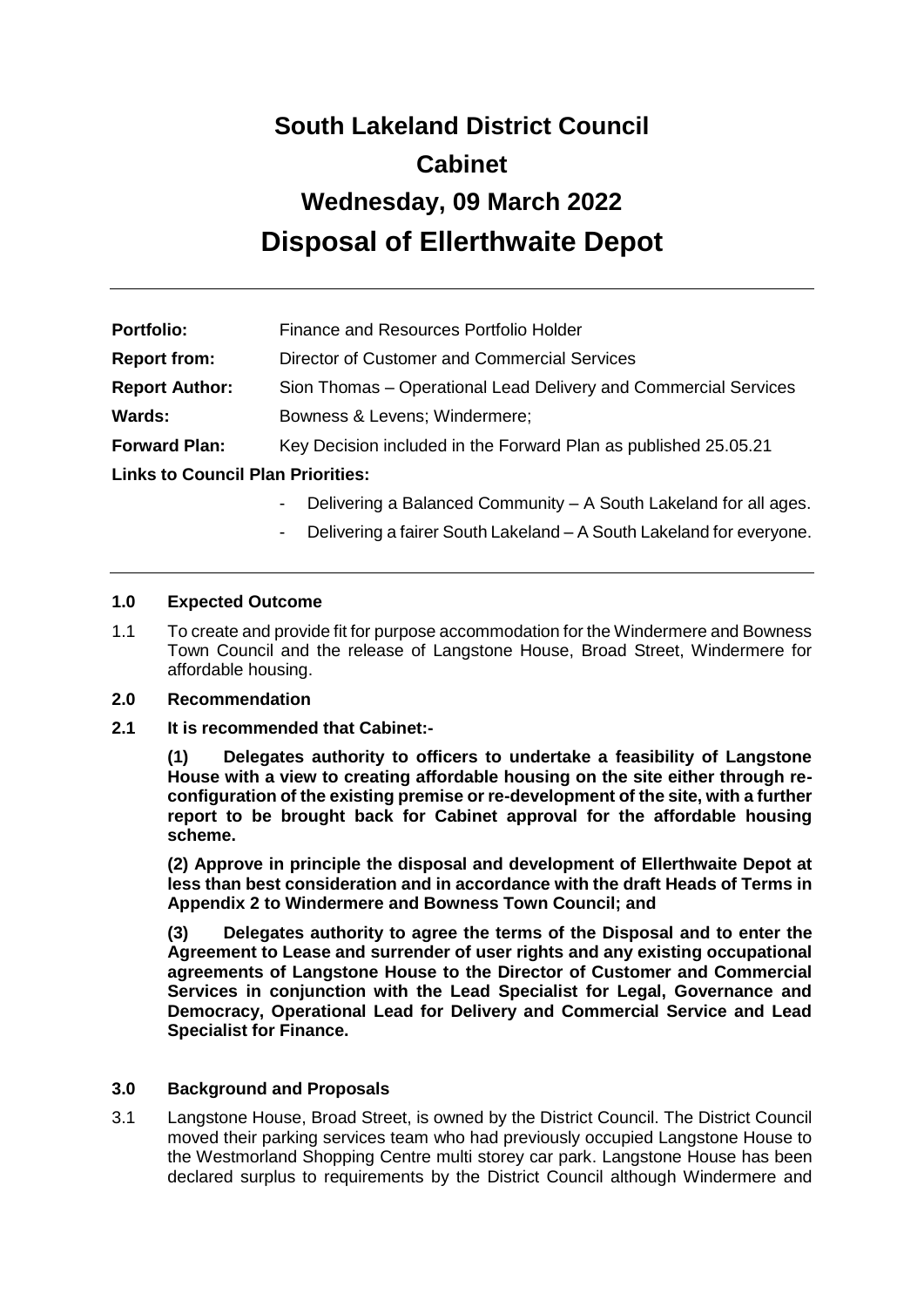# **South Lakeland District Council Cabinet Wednesday, 09 March 2022 Disposal of Ellerthwaite Depot**

| <b>Portfolio:</b>                        | Finance and Resources Portfolio Holder                          |  |
|------------------------------------------|-----------------------------------------------------------------|--|
| <b>Report from:</b>                      | Director of Customer and Commercial Services                    |  |
| <b>Report Author:</b>                    | Sion Thomas – Operational Lead Delivery and Commercial Services |  |
| Wards:                                   | Bowness & Levens; Windermere;                                   |  |
| <b>Forward Plan:</b>                     | Key Decision included in the Forward Plan as published 25.05.21 |  |
| <b>Links to Council Plan Priorities:</b> |                                                                 |  |

- Delivering a Balanced Community A South Lakeland for all ages.
- Delivering a fairer South Lakeland A South Lakeland for everyone.

#### **1.0 Expected Outcome**

1.1 To create and provide fit for purpose accommodation for the Windermere and Bowness Town Council and the release of Langstone House, Broad Street, Windermere for affordable housing.

#### **2.0 Recommendation**

**2.1 It is recommended that Cabinet:-**

**(1) Delegates authority to officers to undertake a feasibility of Langstone House with a view to creating affordable housing on the site either through reconfiguration of the existing premise or re-development of the site, with a further report to be brought back for Cabinet approval for the affordable housing scheme.** 

**(2) Approve in principle the disposal and development of Ellerthwaite Depot at less than best consideration and in accordance with the draft Heads of Terms in Appendix 2 to Windermere and Bowness Town Council; and**

**(3) Delegates authority to agree the terms of the Disposal and to enter the Agreement to Lease and surrender of user rights and any existing occupational agreements of Langstone House to the Director of Customer and Commercial Services in conjunction with the Lead Specialist for Legal, Governance and Democracy, Operational Lead for Delivery and Commercial Service and Lead Specialist for Finance.** 

#### **3.0 Background and Proposals**

3.1 Langstone House, Broad Street, is owned by the District Council. The District Council moved their parking services team who had previously occupied Langstone House to the Westmorland Shopping Centre multi storey car park. Langstone House has been declared surplus to requirements by the District Council although Windermere and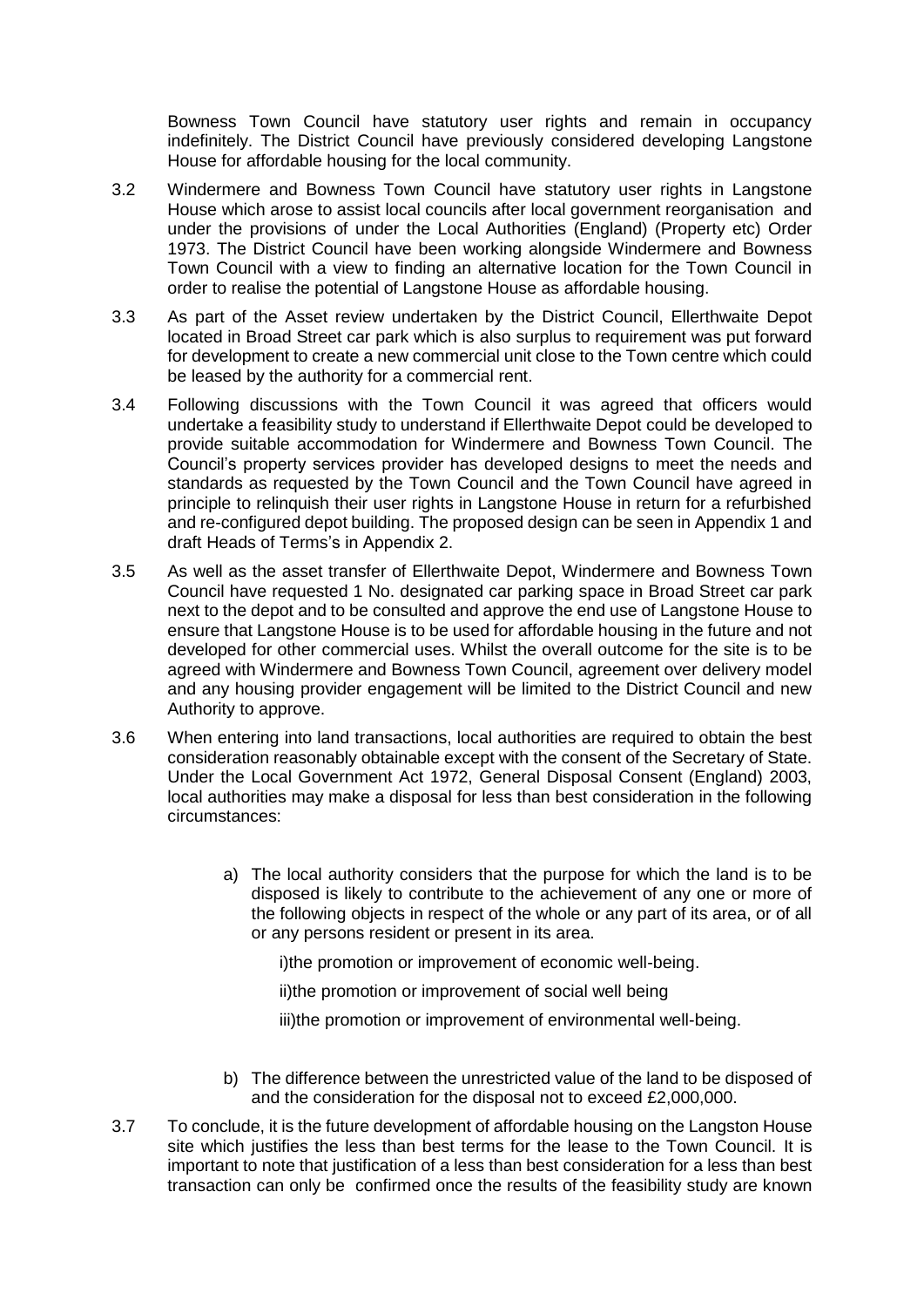Bowness Town Council have statutory user rights and remain in occupancy indefinitely. The District Council have previously considered developing Langstone House for affordable housing for the local community.

- 3.2 Windermere and Bowness Town Council have statutory user rights in Langstone House which arose to assist local councils after local government reorganisation and under the provisions of under the Local Authorities (England) (Property etc) Order 1973. The District Council have been working alongside Windermere and Bowness Town Council with a view to finding an alternative location for the Town Council in order to realise the potential of Langstone House as affordable housing.
- 3.3 As part of the Asset review undertaken by the District Council, Ellerthwaite Depot located in Broad Street car park which is also surplus to requirement was put forward for development to create a new commercial unit close to the Town centre which could be leased by the authority for a commercial rent.
- 3.4 Following discussions with the Town Council it was agreed that officers would undertake a feasibility study to understand if Ellerthwaite Depot could be developed to provide suitable accommodation for Windermere and Bowness Town Council. The Council's property services provider has developed designs to meet the needs and standards as requested by the Town Council and the Town Council have agreed in principle to relinquish their user rights in Langstone House in return for a refurbished and re-configured depot building. The proposed design can be seen in Appendix 1 and draft Heads of Terms's in Appendix 2.
- 3.5 As well as the asset transfer of Ellerthwaite Depot, Windermere and Bowness Town Council have requested 1 No. designated car parking space in Broad Street car park next to the depot and to be consulted and approve the end use of Langstone House to ensure that Langstone House is to be used for affordable housing in the future and not developed for other commercial uses. Whilst the overall outcome for the site is to be agreed with Windermere and Bowness Town Council, agreement over delivery model and any housing provider engagement will be limited to the District Council and new Authority to approve.
- 3.6 When entering into land transactions, local authorities are required to obtain the best consideration reasonably obtainable except with the consent of the Secretary of State. Under the Local Government Act 1972, General Disposal Consent (England) 2003, local authorities may make a disposal for less than best consideration in the following circumstances:
	- a) The local authority considers that the purpose for which the land is to be disposed is likely to contribute to the achievement of any one or more of the following objects in respect of the whole or any part of its area, or of all or any persons resident or present in its area.

i)the promotion or improvement of economic well-being.

ii)the promotion or improvement of social well being

iii)the promotion or improvement of environmental well-being.

- b) The difference between the unrestricted value of the land to be disposed of and the consideration for the disposal not to exceed £2,000,000.
- 3.7 To conclude, it is the future development of affordable housing on the Langston House site which justifies the less than best terms for the lease to the Town Council. It is important to note that justification of a less than best consideration for a less than best transaction can only be confirmed once the results of the feasibility study are known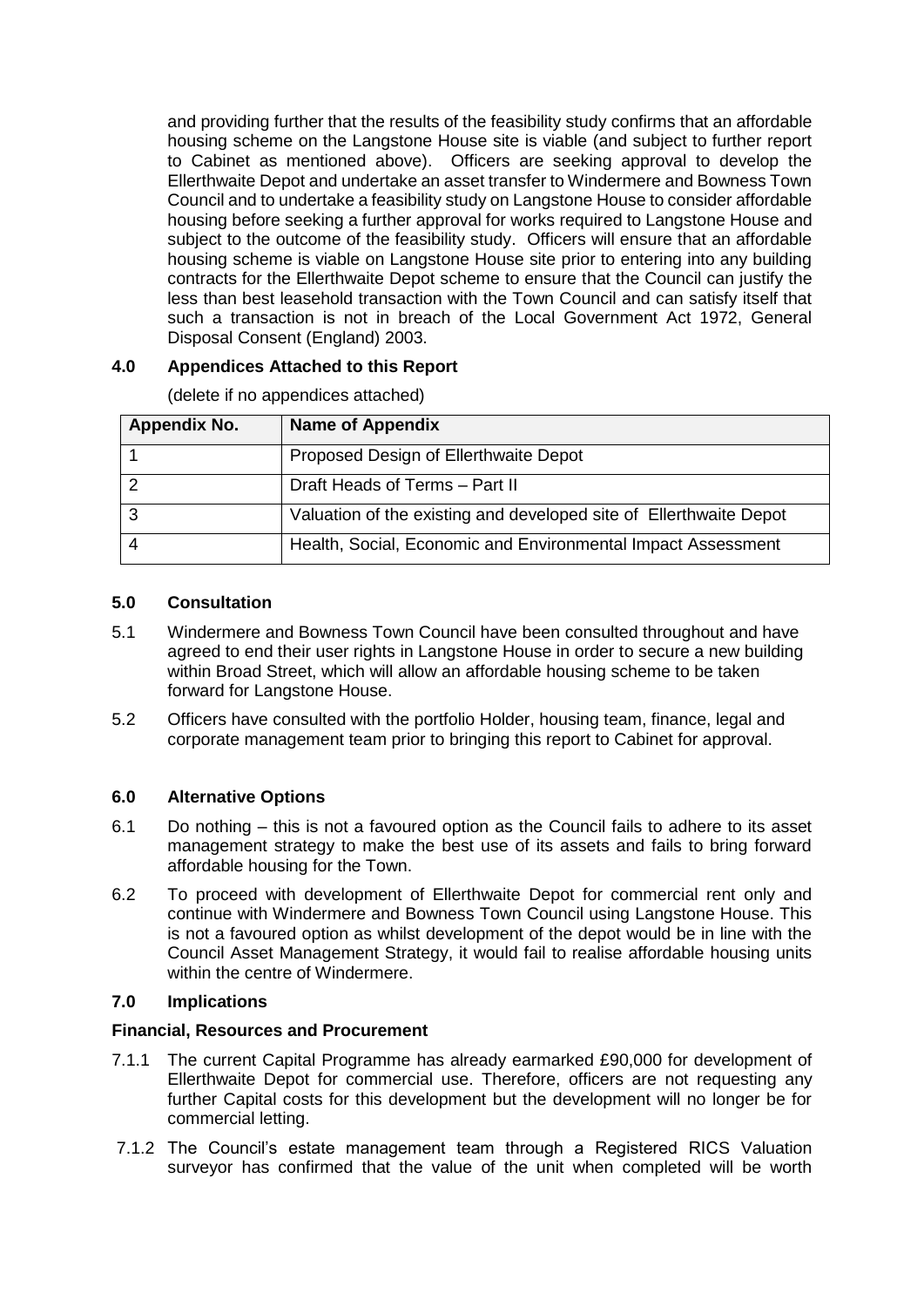and providing further that the results of the feasibility study confirms that an affordable housing scheme on the Langstone House site is viable (and subject to further report to Cabinet as mentioned above). Officers are seeking approval to develop the Ellerthwaite Depot and undertake an asset transfer to Windermere and Bowness Town Council and to undertake a feasibility study on Langstone House to consider affordable housing before seeking a further approval for works required to Langstone House and subject to the outcome of the feasibility study. Officers will ensure that an affordable housing scheme is viable on Langstone House site prior to entering into any building contracts for the Ellerthwaite Depot scheme to ensure that the Council can justify the less than best leasehold transaction with the Town Council and can satisfy itself that such a transaction is not in breach of the Local Government Act 1972, General Disposal Consent (England) 2003.

# **4.0 Appendices Attached to this Report**

| <b>Appendix No.</b> | <b>Name of Appendix</b>                                            |
|---------------------|--------------------------------------------------------------------|
|                     | Proposed Design of Ellerthwaite Depot                              |
|                     | Draft Heads of Terms - Part II                                     |
|                     | Valuation of the existing and developed site of Ellerthwaite Depot |
|                     | Health, Social, Economic and Environmental Impact Assessment       |

(delete if no appendices attached)

# **5.0 Consultation**

- 5.1 Windermere and Bowness Town Council have been consulted throughout and have agreed to end their user rights in Langstone House in order to secure a new building within Broad Street, which will allow an affordable housing scheme to be taken forward for Langstone House.
- 5.2 Officers have consulted with the portfolio Holder, housing team, finance, legal and corporate management team prior to bringing this report to Cabinet for approval.

# **6.0 Alternative Options**

- 6.1 Do nothing this is not a favoured option as the Council fails to adhere to its asset management strategy to make the best use of its assets and fails to bring forward affordable housing for the Town.
- 6.2 To proceed with development of Ellerthwaite Depot for commercial rent only and continue with Windermere and Bowness Town Council using Langstone House. This is not a favoured option as whilst development of the depot would be in line with the Council Asset Management Strategy, it would fail to realise affordable housing units within the centre of Windermere.

# **7.0 Implications**

## **Financial, Resources and Procurement**

- 7.1.1 The current Capital Programme has already earmarked £90,000 for development of Ellerthwaite Depot for commercial use. Therefore, officers are not requesting any further Capital costs for this development but the development will no longer be for commercial letting.
- 7.1.2 The Council's estate management team through a Registered RICS Valuation surveyor has confirmed that the value of the unit when completed will be worth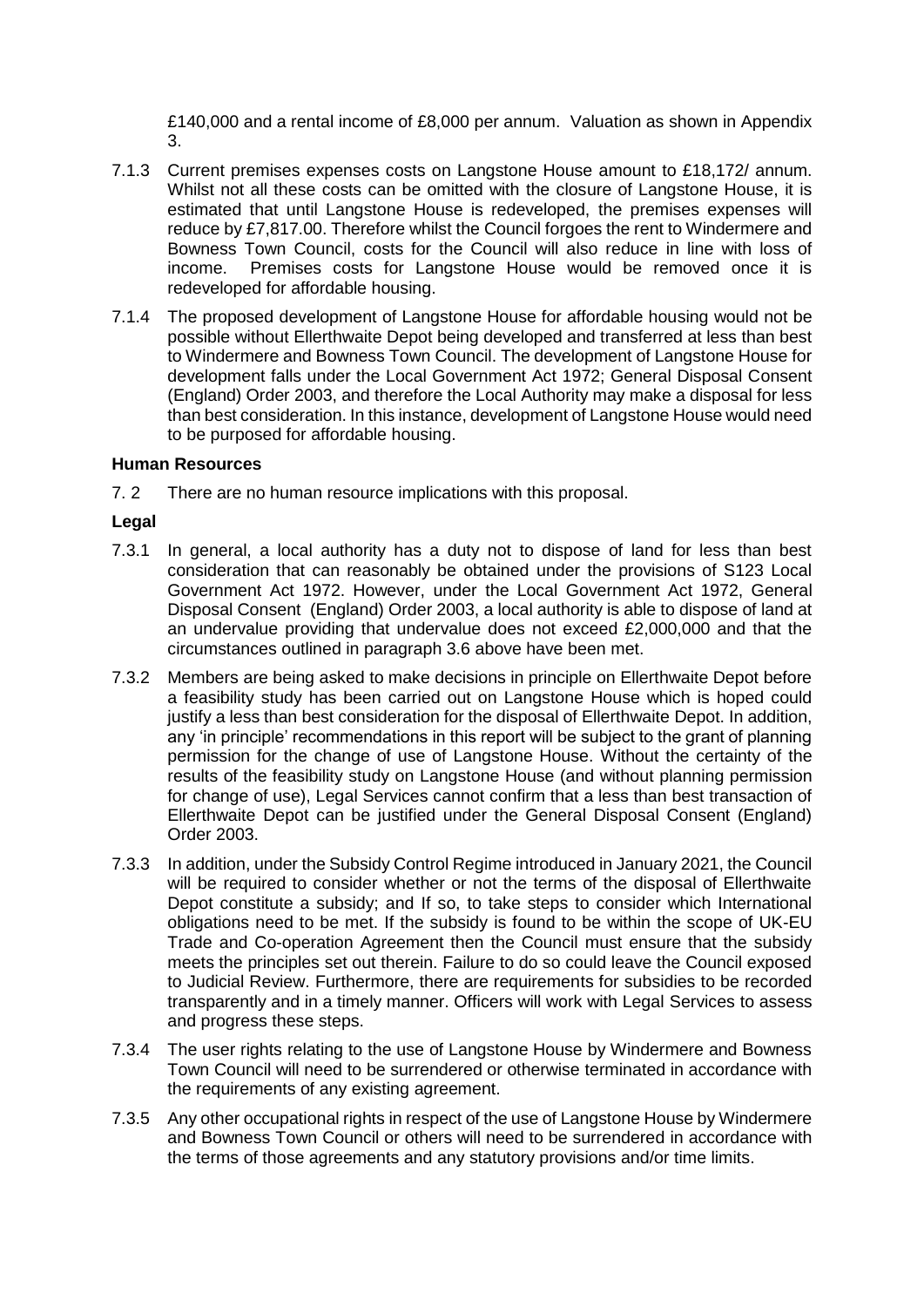£140,000 and a rental income of £8,000 per annum. Valuation as shown in Appendix 3.

- 7.1.3 Current premises expenses costs on Langstone House amount to £18,172/ annum. Whilst not all these costs can be omitted with the closure of Langstone House, it is estimated that until Langstone House is redeveloped, the premises expenses will reduce by £7,817.00. Therefore whilst the Council forgoes the rent to Windermere and Bowness Town Council, costs for the Council will also reduce in line with loss of income. Premises costs for Langstone House would be removed once it is redeveloped for affordable housing.
- 7.1.4 The proposed development of Langstone House for affordable housing would not be possible without Ellerthwaite Depot being developed and transferred at less than best to Windermere and Bowness Town Council. The development of Langstone House for development falls under the Local Government Act 1972; General Disposal Consent (England) Order 2003, and therefore the Local Authority may make a disposal for less than best consideration. In this instance, development of Langstone House would need to be purposed for affordable housing.

#### **Human Resources**

7. 2 There are no human resource implications with this proposal.

## **Legal**

- 7.3.1 In general, a local authority has a duty not to dispose of land for less than best consideration that can reasonably be obtained under the provisions of S123 Local Government Act 1972. However, under the Local Government Act 1972, General Disposal Consent (England) Order 2003, a local authority is able to dispose of land at an undervalue providing that undervalue does not exceed £2,000,000 and that the circumstances outlined in paragraph 3.6 above have been met.
- 7.3.2 Members are being asked to make decisions in principle on Ellerthwaite Depot before a feasibility study has been carried out on Langstone House which is hoped could justify a less than best consideration for the disposal of Ellerthwaite Depot. In addition, any 'in principle' recommendations in this report will be subject to the grant of planning permission for the change of use of Langstone House. Without the certainty of the results of the feasibility study on Langstone House (and without planning permission for change of use), Legal Services cannot confirm that a less than best transaction of Ellerthwaite Depot can be justified under the General Disposal Consent (England) Order 2003.
- 7.3.3 In addition, under the Subsidy Control Regime introduced in January 2021, the Council will be required to consider whether or not the terms of the disposal of Ellerthwaite Depot constitute a subsidy; and If so, to take steps to consider which International obligations need to be met. If the subsidy is found to be within the scope of UK-EU Trade and Co-operation Agreement then the Council must ensure that the subsidy meets the principles set out therein. Failure to do so could leave the Council exposed to Judicial Review. Furthermore, there are requirements for subsidies to be recorded transparently and in a timely manner. Officers will work with Legal Services to assess and progress these steps.
- 7.3.4 The user rights relating to the use of Langstone House by Windermere and Bowness Town Council will need to be surrendered or otherwise terminated in accordance with the requirements of any existing agreement.
- 7.3.5 Any other occupational rights in respect of the use of Langstone House by Windermere and Bowness Town Council or others will need to be surrendered in accordance with the terms of those agreements and any statutory provisions and/or time limits.